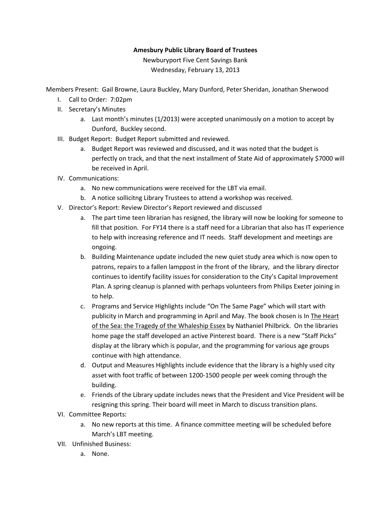## **Amesbury Public Library Board of Trustees**

Newburyport Five Cent Savings Bank Wednesday, February 13, 2013

Members Present: Gail Browne, Laura Buckley, Mary Dunford, Peter Sheridan, Jonathan Sherwood

- I. Call to Order: 7:02pm
- II. Secretary's Minutes
	- a. Last month's minutes (1/2013) were accepted unanimously on a motion to accept by Dunford, Buckley second.
- III. Budget Report: Budget Report submitted and reviewed.
	- a. Budget Report was reviewed and discussed, and it was noted that the budget is perfectly on track, and that the next installment of State Aid of approximately \$7000 will be received in April.
- IV. Communications:
	- a. No new communications were received for the LBT via email.
	- b. A notice sollicitng Library Trustees to attend a workshop was received.
- V. Director's Report: Review Director's Report reviewed and discussed
	- a. The part time teen librarian has resigned, the library will now be looking for someone to fill that position. For FY14 there is a staff need for a Librarian that also has IT experience to help with increasing reference and IT needs. Staff development and meetings are ongoing.
	- b. Building Maintenance update included the new quiet study area which is now open to patrons, repairs to a fallen lamppost in the front of the library, and the library director continues to identify facility issues for consideration to the City's Capital Improvement Plan. A spring cleanup is planned with perhaps volunteers from Philips Exeter joining in to help.
	- c. Programs and Service Highlights include "On The Same Page" which will start with publicity in March and programming in April and May. The book chosen is In The Heart of the Sea: the Tragedy of the Whaleship Essex by Nathaniel Philbrick. On the libraries home page the staff developed an active Pinterest board. There is a new "Staff Picks" display at the library which is popular, and the programming for various age groups continue with high attendance.
	- d. Output and Measures Highlights include evidence that the library is a highly used city asset with foot traffic of between 1200-1500 people per week coming through the building.
	- e. Friends of the Library update includes news that the President and Vice President will be resigning this spring. Their board will meet in March to discuss transition plans.
- VI. Committee Reports:
	- a. No new reports at this time. A finance committee meeting will be scheduled before March's LBT meeting.
- VII. Unfinished Business:
	- a. None.